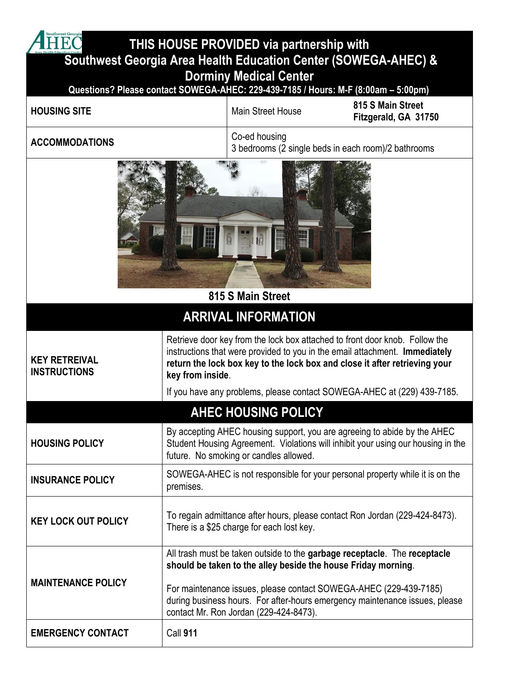| outhwest Georgia<br>THIS HOUSE PROVIDED via partnership with                                    |                                                                                                                                                                                                                                                                                                                                          |                          |                                                                              |  |  |
|-------------------------------------------------------------------------------------------------|------------------------------------------------------------------------------------------------------------------------------------------------------------------------------------------------------------------------------------------------------------------------------------------------------------------------------------------|--------------------------|------------------------------------------------------------------------------|--|--|
| Southwest Georgia Area Health Education Center (SOWEGA-AHEC) &<br><b>Dorminy Medical Center</b> |                                                                                                                                                                                                                                                                                                                                          |                          |                                                                              |  |  |
| Questions? Please contact SOWEGA-AHEC: 229-439-7185 / Hours: M-F (8:00am - 5:00pm)              |                                                                                                                                                                                                                                                                                                                                          |                          |                                                                              |  |  |
| <b>HOUSING SITE</b>                                                                             |                                                                                                                                                                                                                                                                                                                                          | <b>Main Street House</b> | 815 S Main Street<br>Fitzgerald, GA 31750                                    |  |  |
| <b>ACCOMMODATIONS</b>                                                                           | Co-ed housing<br>3 bedrooms (2 single beds in each room)/2 bathrooms                                                                                                                                                                                                                                                                     |                          |                                                                              |  |  |
| 815 S Main Street                                                                               |                                                                                                                                                                                                                                                                                                                                          |                          |                                                                              |  |  |
| <b>ARRIVAL INFORMATION</b>                                                                      |                                                                                                                                                                                                                                                                                                                                          |                          |                                                                              |  |  |
| <b>KEY RETREIVAL</b><br><b>INSTRUCTIONS</b>                                                     | Retrieve door key from the lock box attached to front door knob. Follow the<br>instructions that were provided to you in the email attachment. Immediately<br>return the lock box key to the lock box and close it after retrieving your<br>key from inside.                                                                             |                          |                                                                              |  |  |
|                                                                                                 | If you have any problems, please contact SOWEGA-AHEC at (229) 439-7185.<br><b>AHEC HOUSING POLICY</b>                                                                                                                                                                                                                                    |                          |                                                                              |  |  |
| <b>HOUSING POLICY</b>                                                                           | By accepting AHEC housing support, you are agreeing to abide by the AHEC<br>Student Housing Agreement. Violations will inhibit your using our housing in the<br>future. No smoking or candles allowed.                                                                                                                                   |                          |                                                                              |  |  |
| <b>INSURANCE POLICY</b>                                                                         | premises.                                                                                                                                                                                                                                                                                                                                |                          | SOWEGA-AHEC is not responsible for your personal property while it is on the |  |  |
| <b>KEY LOCK OUT POLICY</b>                                                                      | To regain admittance after hours, please contact Ron Jordan (229-424-8473).<br>There is a \$25 charge for each lost key.                                                                                                                                                                                                                 |                          |                                                                              |  |  |
| <b>MAINTENANCE POLICY</b>                                                                       | All trash must be taken outside to the garbage receptacle. The receptacle<br>should be taken to the alley beside the house Friday morning.<br>For maintenance issues, please contact SOWEGA-AHEC (229-439-7185)<br>during business hours. For after-hours emergency maintenance issues, please<br>contact Mr. Ron Jordan (229-424-8473). |                          |                                                                              |  |  |
| <b>EMERGENCY CONTACT</b>                                                                        | Call 911                                                                                                                                                                                                                                                                                                                                 |                          |                                                                              |  |  |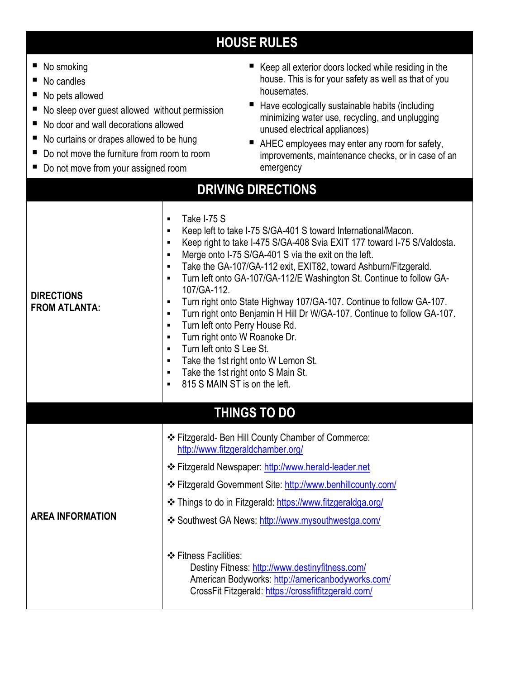## **HOUSE RULES**

| No smoking<br>ш<br>No candles<br>No pets allowed<br>н.<br>No sleep over guest allowed without permission<br>No door and wall decorations allowed<br>No curtains or drapes allowed to be hung<br>Do not move the furniture from room to room<br>ш<br>Do not move from your assigned room | Keep all exterior doors locked while residing in the<br>house. This is for your safety as well as that of you<br>housemates.<br>Have ecologically sustainable habits (including<br>minimizing water use, recycling, and unplugging<br>unused electrical appliances)<br>AHEC employees may enter any room for safety,<br>improvements, maintenance checks, or in case of an<br>emergency                                                                                                                                                                                                                                                                                                                                                                                                                                                                                                                  |  |  |  |
|-----------------------------------------------------------------------------------------------------------------------------------------------------------------------------------------------------------------------------------------------------------------------------------------|----------------------------------------------------------------------------------------------------------------------------------------------------------------------------------------------------------------------------------------------------------------------------------------------------------------------------------------------------------------------------------------------------------------------------------------------------------------------------------------------------------------------------------------------------------------------------------------------------------------------------------------------------------------------------------------------------------------------------------------------------------------------------------------------------------------------------------------------------------------------------------------------------------|--|--|--|
| <b>DRIVING DIRECTIONS</b>                                                                                                                                                                                                                                                               |                                                                                                                                                                                                                                                                                                                                                                                                                                                                                                                                                                                                                                                                                                                                                                                                                                                                                                          |  |  |  |
| <b>DIRECTIONS</b><br><b>FROM ATLANTA:</b>                                                                                                                                                                                                                                               | Take I-75 S<br>Keep left to take I-75 S/GA-401 S toward International/Macon.<br>$\blacksquare$<br>Keep right to take I-475 S/GA-408 Svia EXIT 177 toward I-75 S/Valdosta.<br>Merge onto I-75 S/GA-401 S via the exit on the left.<br>$\blacksquare$<br>Take the GA-107/GA-112 exit, EXIT82, toward Ashburn/Fitzgerald.<br>٠<br>Turn left onto GA-107/GA-112/E Washington St. Continue to follow GA-<br>$\blacksquare$<br>107/GA-112.<br>Turn right onto State Highway 107/GA-107. Continue to follow GA-107.<br>п<br>Turn right onto Benjamin H Hill Dr W/GA-107. Continue to follow GA-107.<br>$\blacksquare$<br>Turn left onto Perry House Rd.<br>$\blacksquare$<br>Turn right onto W Roanoke Dr.<br>п<br>Turn left onto S Lee St.<br>$\blacksquare$<br>Take the 1st right onto W Lemon St.<br>$\blacksquare$<br>Take the 1st right onto S Main St.<br>$\blacksquare$<br>815 S MAIN ST is on the left. |  |  |  |
|                                                                                                                                                                                                                                                                                         | <b>THINGS TO DO</b>                                                                                                                                                                                                                                                                                                                                                                                                                                                                                                                                                                                                                                                                                                                                                                                                                                                                                      |  |  |  |
| <b>AREA INFORMATION</b>                                                                                                                                                                                                                                                                 | ❖ Fitzgerald- Ben Hill County Chamber of Commerce:<br>http://www.fitzgeraldchamber.org/<br>❖ Fitzgerald Newspaper: http://www.herald-leader.net<br>❖ Fitzgerald Government Site: http://www.benhillcounty.com/<br>❖ Things to do in Fitzgerald: https://www.fitzgeraldga.org/<br>❖ Southwest GA News: http://www.mysouthwestga.com/<br>❖ Fitness Facilities:<br>Destiny Fitness: http://www.destinyfitness.com/<br>American Bodyworks: http://americanbodyworks.com/<br>CrossFit Fitzgerald: https://crossfitfitzgerald.com/                                                                                                                                                                                                                                                                                                                                                                             |  |  |  |